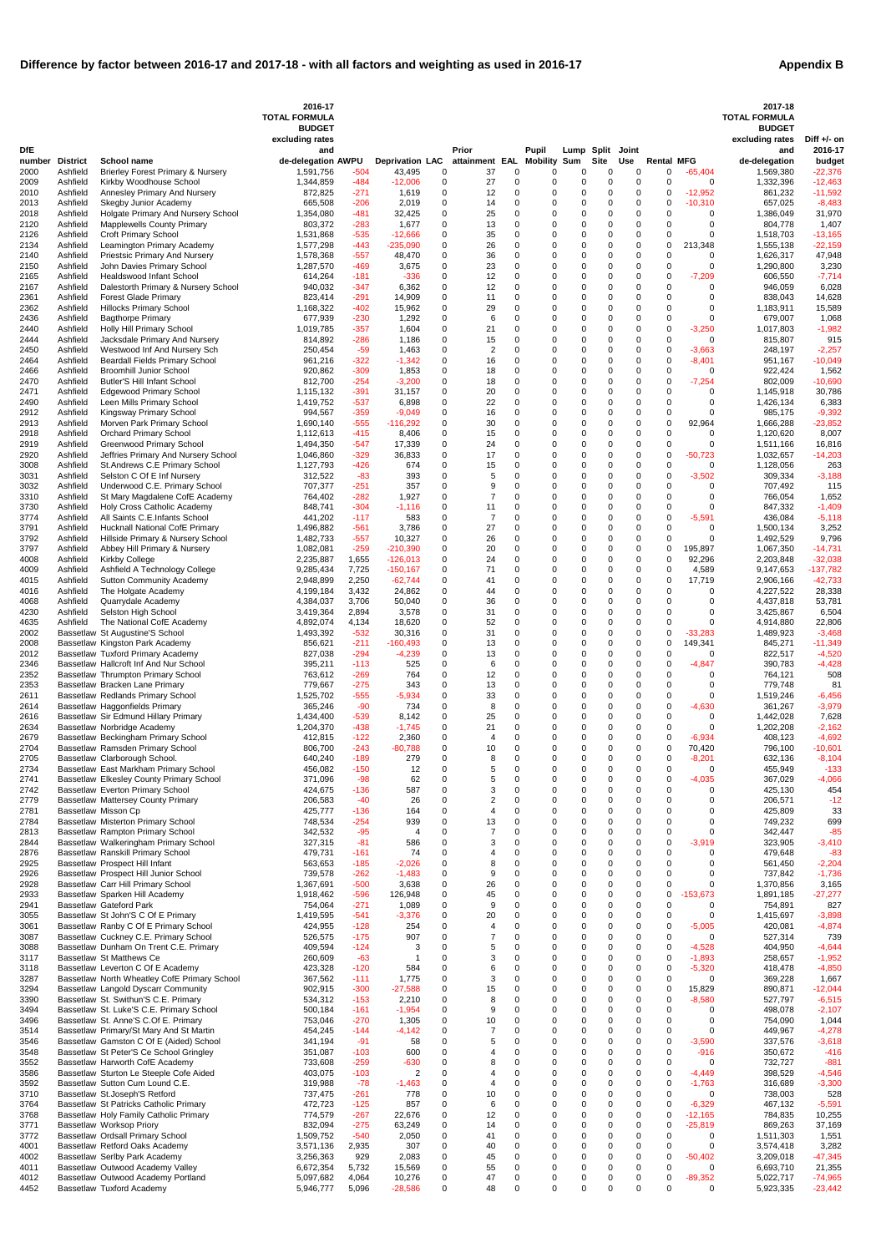| <b>Appendix B</b> |  |
|-------------------|--|
|-------------------|--|

|                |                             |                                                                                     | 2016-17<br><b>TOTAL FORMULA</b>  |                  |                                  |                  |                       |                      |                          |                            |               |                  |                            |                        | 2017-18<br><b>TOTAL FORMULA</b> |                         |
|----------------|-----------------------------|-------------------------------------------------------------------------------------|----------------------------------|------------------|----------------------------------|------------------|-----------------------|----------------------|--------------------------|----------------------------|---------------|------------------|----------------------------|------------------------|---------------------------------|-------------------------|
|                |                             |                                                                                     | <b>BUDGET</b><br>excluding rates |                  |                                  |                  |                       |                      |                          |                            |               |                  |                            |                        | <b>BUDGET</b>                   | Diff $+/-$ on           |
| <b>DfE</b>     |                             |                                                                                     | and                              |                  |                                  |                  | Prior                 |                      | Pupil                    | Lump Split                 |               | Joint            |                            |                        | excluding rates<br>and          | 2016-17                 |
| number<br>2000 | <b>District</b><br>Ashfield | School name<br><b>Brierley Forest Primary &amp; Nursery</b>                         | de-delegation AWPU<br>1,591,756  | -504             | <b>Deprivation LAC</b><br>43,495 | 0                | attainment EAL<br>37  | $\Omega$             | <b>Mobility Sum</b><br>O | 0                          | Site<br>0     | <b>Use</b><br>0  | <b>Rental MFG</b><br>0     | $-65,404$              | de-delegation<br>1,569,380      | budget<br>$-22,376$     |
| 2009           | Ashfield                    | Kirkby Woodhouse School                                                             | 1,344,859                        | -484             | $-12,006$                        | 0                | 27                    | 0                    | 0                        | 0                          | 0             | 0                | $\mathbf 0$                | 0                      | 1,332,396                       | $-12,463$               |
| 2010<br>2013   | Ashfield<br>Ashfield        | Annesley Primary And Nursery<br>Skegby Junior Academy                               | 872,825<br>665,508               | -271<br>-206     | 1,619<br>2,019                   | 0<br>0           | 12<br>14              | $\Omega$<br>$\Omega$ | 0<br>0                   | 0<br>0                     | 0<br>0        | 0<br>$\mathbf 0$ | 0<br>0                     | $-12,952$<br>$-10,310$ | 861,232<br>657,025              | $-11,592$<br>$-8,483$   |
| 2018           | Ashfield                    | Holgate Primary And Nursery School                                                  | 1,354,080                        | -481             | 32,425                           | 0                | 25                    | $\Omega$             | 0                        | 0                          | 0             | $\mathbf 0$      | 0                          | $\Omega$               | 1,386,049                       | 31,970                  |
| 2120<br>2126   | Ashfield<br>Ashfield        | <b>Mapplewells County Primary</b><br><b>Croft Primary School</b>                    | 803,372<br>1,531,868             | -283<br>-535     | 1,677<br>$-12,666$               | 0<br>0           | 13<br>35              | $\Omega$<br>$\Omega$ | 0<br>0                   | 0<br>0                     | 0<br>0        | 0<br>$\mathbf 0$ | 0<br>0                     | $\Omega$<br>$\Omega$   | 804,778<br>1,518,703            | 1,407<br>$-13,165$      |
| 2134           | Ashfield                    | Leamington Primary Academy                                                          | 1,577,298                        | $-443$           | $-235,090$                       | 0                | 26                    | $\Omega$             | 0                        | $\mathbf 0$                | 0             | 0                | 0                          | 213,348                | 1,555,138                       | $-22,159$               |
| 2140<br>2150   | Ashfield<br>Ashfield        | <b>Priestsic Primary And Nursery</b><br>John Davies Primary School                  | 1,578,368<br>1,287,570           | -557<br>-469     | 48,470<br>3,675                  | 0<br>0           | 36<br>23              | $\Omega$<br>$\Omega$ | 0<br>0                   | 0<br>$\mathbf 0$           | 0<br>0        | 0<br>0           | $\mathbf 0$<br>0           | 0<br>$\Omega$          | 1,626,317<br>1,290,800          | 47,948<br>3,230         |
| 2165           | Ashfield<br>Ashfield        | <b>Healdswood Infant School</b><br>Dalestorth Primary & Nursery School              | 614,264<br>940,032               | $-181$           | $-336$                           | 0<br>0           | 12<br>12              | $\Omega$<br>$\Omega$ | 0<br>0                   | $\mathbf 0$<br>0           | 0<br>0        | 0<br>0           | 0<br>0                     | $-7,209$<br>0          | 606,550<br>946,059              | $-7,714$                |
| 2167<br>2361   | Ashfield                    | <b>Forest Glade Primary</b>                                                         | 823,414                          | -347<br>$-291$   | 6,362<br>14,909                  | 0                | 11                    | $\Omega$             | 0                        | $\mathbf 0$                | 0             | 0                | $\mathbf 0$                | $\Omega$               | 838,043                         | 6,028<br>14,628         |
| 2362<br>2436   | Ashfield<br>Ashfield        | <b>Hillocks Primary School</b><br><b>Bagthorpe Primary</b>                          | 1,168,322<br>677,939             | -402<br>-230     | 15,962<br>1,292                  | 0<br>0           | 29<br>6               | $\Omega$<br>$\Omega$ | 0<br>0                   | $\mathbf 0$<br>$\mathbf 0$ | 0<br>0        | 0<br>0           | 0<br>0                     | $\Omega$<br>$\Omega$   | 1,183,911<br>679,007            | 15,589<br>1,068         |
| 2440           | Ashfield                    | Holly Hill Primary School                                                           | 1,019,785                        | $-357$           | 1,604                            | 0                | 21                    | $\Omega$             | 0                        | $\mathbf 0$                | 0             | 0                | $\mathbf 0$                | $-3,250$               | 1,017,803                       | $-1,982$                |
| 2444<br>2450   | Ashfield<br>Ashfield        | Jacksdale Primary And Nursery<br>Westwood Inf And Nursery Sch                       | 814,892<br>250,454               | $-286$<br>$-59$  | 1,186<br>1,463                   | 0<br>0           | 15<br>$\overline{2}$  | $\Omega$<br>$\Omega$ | 0<br>0                   | $\mathbf 0$<br>0           | 0<br>0        | 0<br>0           | 0<br>0                     | 0<br>$-3,663$          | 815,807<br>248,197              | 915<br>$-2,257$         |
| 2464           | Ashfield                    | Beardall Fields Primary School                                                      | 961,216                          | $-322$           | $-1,342$                         | 0                | 16                    | $\Omega$             | 0                        | 0                          | 0             | 0                | 0                          | $-8,401$               | 951,167                         | $-10,049$               |
| 2466<br>2470   | Ashfield<br>Ashfield        | <b>Broomhill Junior School</b><br><b>Butler'S Hill Infant School</b>                | 920,862<br>812,700               | $-309$<br>-254   | 1,853<br>$-3,200$                | 0<br>0           | 18<br>18              | $\Omega$<br>$\Omega$ | 0<br>0                   | 0<br>$\mathbf 0$           | 0<br>0        | 0<br>0           | $\mathbf 0$<br>0           | $\Omega$<br>$-7,254$   | 922,424<br>802,009              | 1,562<br>$-10,690$      |
| 2471           | Ashfield                    | <b>Edgewood Primary School</b>                                                      | 1,115,132                        | $-391$           | 31,157                           | 0                | 20                    | $\Omega$             | 0                        | 0                          | 0             | 0                | $\mathbf 0$                | $\Omega$               | 1,145,918                       | 30,786                  |
| 2490<br>2912   | Ashfield<br>Ashfield        | Leen Mills Primary School<br>Kingsway Primary School                                | 1,419,752<br>994,567             | $-537$<br>-359   | 6,898<br>$-9,049$                | 0<br>0           | 22<br>16              | $\Omega$<br>$\Omega$ | 0<br>0                   | $\mathbf 0$<br>$\mathbf 0$ | 0<br>0        | 0<br>0           | 0<br>0                     | $\Omega$<br>$\Omega$   | 1,426,134<br>985,175            | 6,383<br>$-9,392$       |
| 2913           | Ashfield                    | Morven Park Primary School                                                          | 1,690,140                        | $-555$           | $-116,292$                       | 0                | 30                    | $\Omega$             | 0                        | 0                          | 0             | 0                | $\mathbf 0$                | 92,964                 | 1,666,288                       | $-23,852$               |
| 2918<br>2919   | Ashfield<br>Ashfield        | <b>Orchard Primary School</b><br><b>Greenwood Primary School</b>                    | 1,112,613<br>1,494,350           | -415<br>-547     | 8,406<br>17,339                  | 0<br>0           | 15<br>24              | $\Omega$<br>$\Omega$ | 0<br>0                   | $\mathbf 0$<br>$\mathbf 0$ | 0<br>0        | 0<br>0           | $\mathbf 0$<br>0           | $\Omega$<br>$\Omega$   | 1,120,620<br>1,511,166          | 8,007<br>16,816         |
| 2920           | Ashfield                    | Jeffries Primary And Nursery School                                                 | 1,046,860                        | $-329$           | 36,833                           | 0                | 17                    | $\Omega$             | 0                        | 0                          | 0             | 0                | $\mathbf 0$                | $-50,723$              | 1,032,657                       | $-14,203$               |
| 3008<br>3031   | Ashfield<br>Ashfield        | St.Andrews C.E Primary School<br>Selston C Of E Inf Nursery                         | 1,127,793<br>312,522             | -426<br>-83      | 674<br>393                       | 0<br>0           | 15<br>5               | $\Omega$<br>$\Omega$ | 0<br>0                   | 0<br>$\mathbf 0$           | 0<br>0        | 0<br>0           | 0<br>$\mathbf 0$           | 0<br>$-3,502$          | 1,128,056<br>309,334            | 263<br>$-3,188$         |
| 3032           | Ashfield                    | Underwood C.E. Primary School                                                       | 707,377                          | -251             | 357                              | 0                | 9                     | $\Omega$             | 0                        | $\mathbf 0$                | 0             | 0                | $\mathbf 0$                | 0                      | 707,492                         | 115                     |
| 3310<br>3730   | Ashfield<br>Ashfield        | St Mary Magdalene CofE Academy<br>Holy Cross Catholic Academy                       | 764,402<br>848,741               | -282<br>$-304$   | 1,927<br>$-1,116$                | 0<br>0           | $\overline{7}$<br>11  | $\Omega$<br>$\Omega$ | 0<br>0                   | $\mathbf 0$<br>0           | 0<br>0        | 0<br>$\mathbf 0$ | $\mathbf 0$<br>0           | $\Omega$<br>$\Omega$   | 766,054<br>847,332              | 1,652<br>$-1,409$       |
| 3774           | Ashfield                    | All Saints C.E.Infants School                                                       | 441,202                          | $-117$           | 583                              | 0                | $\overline{7}$        | $\Omega$             | 0                        | 0                          | 0             | 0                | 0                          | $-5,591$               | 436,084                         | $-5,118$                |
| 3791<br>3792   | Ashfield<br>Ashfield        | Hucknall National CofE Primary<br>Hillside Primary & Nursery School                 | 1,496,882<br>1,482,733           | $-561$<br>$-557$ | 3,786<br>10,327                  | 0<br>0           | 27<br>26              | $\Omega$<br>$\Omega$ | 0<br>0                   | 0<br>0                     | 0<br>0        | 0<br>0           | $\mathbf 0$<br>0           | $\Omega$<br>$\Omega$   | 1,500,134<br>1,492,529          | 3,252<br>9,796          |
| 3797           | Ashfield                    | Abbey Hill Primary & Nursery                                                        | 1,082,081                        | -259             | $-210,390$                       | 0                | 20                    | $\Omega$             | 0                        | $\mathbf 0$                | 0             | 0                | $\Omega$                   | 195,897                | 1,067,350                       | $-14,731$               |
| 4008<br>4009   | Ashfield<br>Ashfield        | Kirkby College<br>Ashfield A Technology College                                     | 2,235,887<br>9,285,434           | 1,655<br>7,725   | $-126,013$<br>$-150, 167$        | 0<br>$\Omega$    | 24<br>71              | $\Omega$<br>$\Omega$ | 0<br>0                   | $\Omega$<br>$\Omega$       | 0<br>$\Omega$ | 0<br>$\Omega$    | 0<br>$\Omega$              | 92,296<br>4,589        | 2,203,848<br>9,147,653          | $-32,038$<br>$-137,782$ |
| 4015           | Ashfield                    | <b>Sutton Community Academy</b>                                                     | 2,948,899                        | 2,250            | $-62,744$                        | 0                | 41                    | $\Omega$             | 0                        | 0                          | 0             | 0                | 0                          | 17,719                 | 2,906,166                       | $-42,733$               |
| 4016           | Ashfield                    | The Holgate Academy<br>Quarrydale Academy                                           | 4,199,184                        | 3,432            | 24,862                           | 0                | 44                    | 0<br>$\Omega$        | 0                        | $\mathbf 0$<br>$\Omega$    | 0<br>0        | 0                | 0                          | $\Omega$<br>$\Omega$   | 4,227,522                       | 28,338                  |
| 4068<br>4230   | Ashfield<br>Ashfield        | Selston High School                                                                 | 4,384,037<br>3,419,364           | 3,706<br>2,894   | 50,040<br>3,578                  | 0<br>0           | 36<br>31              | $\Omega$             | 0<br>0                   | $\mathbf 0$                | 0             | 0<br>0           | $\Omega$<br>0              | 0                      | 4,437,818<br>3,425,867          | 53,781<br>6,504         |
| 4635           | Ashfield                    | The National CofE Academy                                                           | 4,892,074                        | 4,134            | 18,620                           | 0                | 52                    | $\Omega$             | 0                        | 0                          | 0             | 0                | 0                          | $\Omega$               | 4,914,880                       | 22,806                  |
| 2002<br>2008   |                             | Bassetlaw St Augustine'S School<br>Bassetlaw Kingston Park Academy                  | 1,493,392<br>856,621             | $-532$<br>-211   | 30,316<br>$-160,493$             | 0<br>0           | 31<br>13              | $\Omega$<br>$\Omega$ | 0<br>0                   | $\Omega$<br>0              | 0<br>0        | $\mathbf 0$<br>0 | 0<br>0                     | $-33,283$<br>149,341   | 1,489,923<br>845,271            | $-3,468$<br>$-11,349$   |
| 2012           |                             | Bassetlaw Tuxford Primary Academy                                                   | 827,038                          | $-294$           | $-4,239$                         | 0                | 13                    | $\Omega$             | 0                        | 0                          | 0             | 0                | $\mathbf 0$                | $\Omega$               | 822,517                         | $-4,520$                |
| 2346<br>2352   |                             | Bassetlaw Hallcroft Inf And Nur School<br>Bassetlaw Thrumpton Primary School        | 395,211<br>763,612               | $-113$<br>$-269$ | 525<br>764                       | 0<br>0           | 6<br>12               | $\Omega$<br>$\Omega$ | 0<br>0                   | 0<br>$\mathbf 0$           | 0<br>0        | $\mathbf 0$<br>0 | 0<br>0                     | $-4,847$<br>$\Omega$   | 390,783<br>764,121              | $-4,428$<br>508         |
| 2353           |                             | Bassetlaw Bracken Lane Primary                                                      | 779,667                          | $-275$           | 343                              | 0                | 13                    | $\Omega$             | 0                        | 0                          | 0             | 0                | $\mathbf 0$                | $\Omega$               | 779,748                         | 81                      |
| 2611<br>2614   |                             | Bassetlaw Redlands Primary School<br>Bassetlaw Haggonfields Primary                 | 1,525,702<br>365,246             | -555<br>$-90$    | -5,934<br>734                    | 0<br>0           | 33<br>8               | $\Omega$<br>$\Omega$ | 0<br>0                   | $\mathbf 0$<br>$\mathbf 0$ | 0<br>0        | $\mathbf 0$<br>0 | 0<br>0                     | 0<br>$-4,630$          | 1,519,246<br>361,267            | $-6,456$<br>$-3,979$    |
| 2616           |                             | Bassetlaw Sir Edmund Hillary Primary                                                | 1,434,400                        | -539             | 8,142                            | 0                | 25                    | 0                    | 0                        | 0                          | 0             | 0                | $\mathbf 0$                | 0                      | 1,442,028                       | 7,628                   |
| 2634<br>2679   |                             | Bassetlaw Norbridge Academy<br>Bassetlaw Beckingham Primary School                  | 1,204,370<br>412,815             | -438<br>$-122$   | $-1,745$<br>2,360                | 0<br>0           | 21<br>4               | $\Omega$<br>$\Omega$ | 0<br>0                   | 0<br>0                     | 0<br>0        | $\mathbf 0$<br>0 | 0<br>0                     | $\Omega$<br>$-6,934$   | 1,202,208<br>408,123            | $-2,162$<br>$-4,692$    |
| 2704           |                             | Bassetlaw Ramsden Primary School                                                    | 806,700                          | -243             | $-80,788$                        | 0                | 10                    | $\Omega$             | 0                        | 0                          | 0             | 0                | 0                          | 70,420                 | 796,100                         | $-10,601$               |
| 2705<br>2734   |                             | Bassetlaw Clarborough School.<br>Bassetlaw East Markham Primary School              | 640,240<br>456,082               | $-189$<br>$-150$ | 279<br>12                        | 0<br>0           | 8<br>5                | $\Omega$<br>$\Omega$ | 0<br>0                   | $\mathbf 0$<br>$\mathbf 0$ | 0<br>0        | 0<br>0           | $\mathbf 0$<br>$\mathbf 0$ | $-8,201$<br>$\Omega$   | 632,136<br>455,949              | $-8,104$<br>$-133$      |
| 2741           |                             | Bassetlaw Elkesley County Primary School                                            | 371,096                          | $-98$            | 62                               | 0                | 5                     | $\Omega$             | 0                        | 0                          | 0             | 0                | 0                          | $-4,035$               | 367,029                         | $-4,066$                |
| 2742<br>2779   |                             | Bassetlaw Everton Primary School<br>Bassetlaw Mattersey County Primary              | 424,675<br>206,583               | -136<br>$-40$    | 587<br>26                        | 0<br>0           | 3<br>$\boldsymbol{2}$ | $\Omega$<br>$\Omega$ | 0                        | $\mathbf 0$<br>0           | 0<br>0        | $\mathbf 0$<br>0 | $\Omega$<br>0              | $\Omega$<br>0          | 425,130<br>206,571              | 454<br>$-12$            |
| 2781           |                             | Bassetlaw Misson Cp                                                                 | 425,777                          | -136             | 164                              | 0                | $\overline{4}$        | $\Omega$             | 0                        | $\mathbf 0$                | 0             | 0                | 0                          | $\Omega$               | 425,809                         | 33                      |
| 2784<br>2813   |                             | Bassetlaw Misterton Primary School<br>Bassetlaw Rampton Primary School              | 748,534<br>342,532               | $-254$<br>$-95$  | 939<br>4                         | 0<br>$\mathbf 0$ | 13<br>7               | $\Omega$<br>$\Omega$ | 0<br>0                   | $\mathbf 0$<br>0           | 0<br>0        | $\mathbf 0$<br>0 | 0<br>0                     | 0<br>0                 | 749,232<br>342,447              | 699<br>$-85$            |
| 2844           |                             | Bassetlaw Walkeringham Primary School                                               | 327,315                          | -81              | 586                              | 0                | 3                     | $\Omega$             | 0                        | 0                          | 0             | 0                | 0                          | $-3,919$               | 323,905                         | $-3,410$                |
| 2876<br>2925   |                             | Bassetlaw Ranskill Primary School<br>Bassetlaw Prospect Hill Infant                 | 479,731<br>563,653               | -161<br>-185     | 74<br>$-2,026$                   | 0<br>0           | 4<br>8                | $\Omega$<br>$\Omega$ | 0<br>0                   | $\mathbf 0$<br>$\mathbf 0$ | 0<br>0        | $\mathbf 0$<br>0 | 0<br>0                     | $\Omega$<br>$\Omega$   | 479,648<br>561,450              | $-83$<br>$-2,204$       |
| 2926           |                             | Bassetlaw Prospect Hill Junior School                                               | 739,578                          | -262             | $-1,483$                         | 0                | 9                     | $\Omega$             | 0                        | $\mathbf 0$                | 0             | 0                | 0                          | $\Omega$               | 737,842                         | $-1,736$                |
| 2928<br>2933   |                             | Bassetlaw Carr Hill Primary School<br>Bassetlaw Sparken Hill Academy                | 1,367,691<br>1,918,462           | -500<br>$-596$   | 3,638<br>126,948                 | 0<br>0           | 26<br>45              | $\Omega$<br>$\Omega$ | 0<br>0                   | 0<br>0                     | 0<br>0        | $\mathbf 0$<br>0 | 0<br>0                     | 0<br>$-153,673$        | 1,370,856<br>1,891,185          | 3,165<br>$-27,277$      |
| 2941           |                             | <b>Bassetlaw Gateford Park</b>                                                      | 754,064                          | $-271$           | 1,089                            | 0                | 9                     | $\Omega$             | 0                        | $\Omega$                   | 0             | $\mathbf 0$      | $\mathbf 0$                | $\Omega$               | 754,891                         | 827                     |
| 3055<br>3061   |                             | Bassetlaw St John'S C Of E Primary<br>Bassetlaw Ranby C Of E Primary School         | 1,419,595<br>424,955             | -541<br>$-128$   | $-3,376$<br>254                  | 0<br>0           | 20<br>4               | 0<br>$\Omega$        | 0<br>0                   | 0<br>0                     | 0<br>0        | 0<br>0           | 0<br>0                     | $\Omega$<br>$-5,005$   | 1,415,697<br>420,081            | $-3,898$<br>$-4,874$    |
| 3087           |                             | Bassetlaw Cuckney C.E. Primary School                                               | 526,575                          | $-175$           | 907                              | 0                |                       | $\Omega$             | 0                        | 0                          | 0             | 0                | 0                          | $\Omega$               | 527,314                         | 739                     |
| 3088<br>3117   |                             | Bassetlaw Dunham On Trent C.E. Primary<br><b>Bassetlaw St Matthews Ce</b>           | 409,594<br>260,609               | -124<br>$-63$    | 3                                | 0<br>0           | 5<br>3                | $\Omega$<br>$\Omega$ | 0<br>0                   | 0<br>0                     | 0<br>0        | 0<br>0           | 0<br>0                     | $-4,528$<br>$-1,893$   | 404,950<br>258,657              | $-4,644$<br>$-1,952$    |
| 3118           |                             | Bassetlaw Leverton C Of E Academy                                                   | 423,328                          | -120             | 584                              | 0                | 6                     | $\Omega$             | 0                        | $\mathbf 0$                | 0             | 0                | $\mathbf 0$                | $-5,320$               | 418,478                         | $-4,850$                |
| 3287<br>3294   |                             | Bassetlaw North Wheatley CofE Primary School<br>Bassetlaw Langold Dyscarr Community | 367,562<br>902,915               | $-111$<br>$-300$ | 1,775<br>$-27,588$               | 0<br>0           | 3<br>15               | $\Omega$<br>$\Omega$ | 0<br>0                   | $\mathbf 0$<br>0           | 0<br>0        | 0<br>0           | $\mathbf 0$<br>0           | $\Omega$<br>15,829     | 369,228<br>890,871              | 1,667<br>$-12,044$      |
| 3390           |                             | Bassetlaw St. Swithun'S C.E. Primary                                                | 534,312                          | $-153$           | 2,210                            | 0                | 8                     | $\Omega$             | 0                        | 0                          | 0             | 0                | $\mathbf 0$                | $-8,580$               | 527,797                         | $-6,515$                |
| 3494<br>3496   |                             | Bassetlaw St. Luke'S C.E. Primary School<br>Bassetlaw St. Anne'S C.Of E. Primary    | 500,184<br>753,046               | -161<br>-270     | $-1,954$<br>1,305                | 0<br>0           | 9<br>10               | $\Omega$<br>$\Omega$ | 0<br>0                   | 0<br>0                     | 0<br>0        | 0<br>0           | $\mathbf 0$<br>0           | 0<br>$\Omega$          | 498,078<br>754,090              | $-2,107$<br>1,044       |
| 3514           |                             | Bassetlaw Primary/St Mary And St Martin                                             | 454,245                          | $-144$           | $-4,142$                         | 0                |                       | $\Omega$             | 0                        | $\Omega$                   | 0             | 0                | $\Omega$                   | $\Omega$               | 449,967                         | $-4,278$                |
| 3546<br>3548   |                             | Bassetlaw Gamston C Of E (Aided) School<br>Bassetlaw St Peter'S Ce School Gringley  | 341,194<br>351,087               | $-91$<br>$-103$  | 58<br>600                        | 0<br>0           | 5<br>4                | $\Omega$<br>0        | 0<br>0                   | $\mathbf 0$<br>0           | 0<br>0        | $\Omega$<br>0    | $\Omega$<br>$\mathbf 0$    | $-3,590$<br>$-916$     | 337,576<br>350,672              | $-3,618$<br>$-416$      |
| 3552           |                             | Bassetlaw Harworth CofE Academy                                                     | 733,608                          | $-259$           | $-630$                           | $\Omega$         | 8                     | $\Omega$             | 0                        | $\Omega$                   | 0             | $\mathbf 0$      | $\mathbf 0$                | $\Omega$               | 732,727                         | $-881$                  |
| 3586<br>3592   |                             | Bassetlaw Sturton Le Steeple Cofe Aided<br>Bassetlaw Sutton Cum Lound C.E.          | 403,075<br>319,988               | $-103$<br>$-78$  | $\overline{2}$<br>$-1,463$       | 0<br>0           | 4<br>4                | $\Omega$<br>$\Omega$ | 0<br>0                   | 0<br>$\mathbf 0$           | 0<br>0        | 0<br>0           | 0<br>$\mathbf 0$           | $-4,449$<br>$-1,763$   | 398,529<br>316,689              | $-4,546$<br>$-3,300$    |
| 3710           |                             | Bassetlaw St.Joseph'S Retford                                                       | 737,475                          | $-261$           | 778                              | 0                | 10                    | $\Omega$             | 0                        | $\Omega$                   | 0             | 0                | $\mathbf 0$                | 0                      | 738,003                         | 528                     |
| 3764<br>3768   |                             | Bassetlaw St Patricks Catholic Primary<br>Bassetlaw Holy Family Catholic Primary    | 472,723<br>774,579               | $-125$<br>$-267$ | 857<br>22,676                    | 0<br>0           | 6<br>12               | $\Omega$<br>$\Omega$ | 0<br>0                   | 0<br>0                     | 0<br>0        | 0<br>0           | $\mathbf 0$<br>0           | $-6,329$<br>$-12,165$  | 467,132<br>784,835              | $-5,591$<br>10,255      |
| 3771           |                             | Bassetlaw Worksop Priory                                                            | 832,094                          | $-275$           | 63,249                           | 0                | 14                    | $\Omega$             | 0                        | $\Omega$                   | 0             | $\mathbf 0$      | $\mathbf 0$                | $-25,819$              | 869,263                         | 37,169                  |
| 3772           |                             | Bassetlaw Ordsall Primary School<br>Bassetlaw Retford Oaks Academy                  | 1,509,752                        | $-540$           | 2,050                            | 0                | 41                    | $\Omega$<br>$\Omega$ | 0<br>0                   | 0                          | 0<br>0        | 0                | $\mathbf 0$                | 0<br>0                 | 1,511,303                       | 1,551                   |
| 4001<br>4002   |                             | Bassetlaw Serlby Park Academy                                                       | 3,571,136<br>3,256,363           | 2,935<br>929     | 307<br>2,083                     | 0<br>0           | 40<br>45              | $\Omega$             | 0                        | 0<br>$\mathbf 0$           | 0             | 0<br>$\mathbf 0$ | 0<br>$\mathbf 0$           | $-50,402$              | 3,574,418<br>3,209,018          | 3,282<br>$-47,345$      |
| 4011           |                             | Bassetlaw Outwood Academy Valley<br>Bassetlaw Outwood Academy Portland              | 6,672,354                        | 5,732            | 15,569                           | 0                | 55                    | $\Omega$             | 0                        | 0                          | 0             | 0                | $\mathbf 0$                | 0                      | 6,693,710                       | 21,355                  |
| 4012<br>4452   |                             | Bassetlaw Tuxford Academy                                                           | 5,097,682<br>5,946,777           | 4,064<br>5,096   | 10,276<br>$-28,586$              | 0<br>0           | 47<br>48              | 0<br>0               | 0<br>0                   | 0<br>$\mathbf 0$           | 0<br>$\Omega$ | 0<br>$\mathbf 0$ | 0<br>$\Omega$              | $-89,352$<br>0         | 5,022,717<br>5,923,335          | $-74,965$<br>$-23,442$  |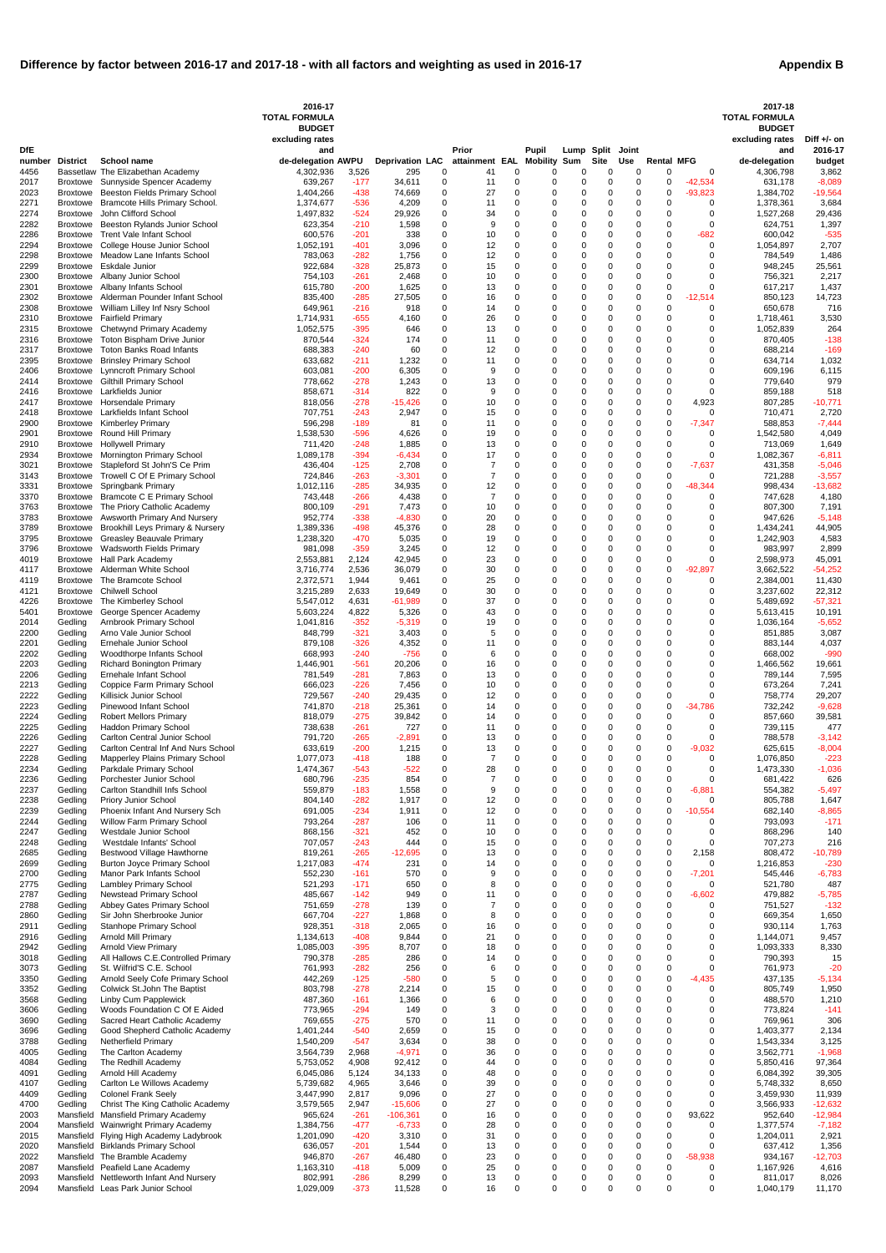|  | <b>Appendix B</b> |  |  |
|--|-------------------|--|--|
|--|-------------------|--|--|

|                |                                    |                                                                               | 2016-17<br><b>TOTAL FORMULA</b>  |                  |                               |               |                      |                              |                      |                            |                  |                      |                        |                         | 2017-18<br><b>TOTAL FORMULA</b>  |                        |
|----------------|------------------------------------|-------------------------------------------------------------------------------|----------------------------------|------------------|-------------------------------|---------------|----------------------|------------------------------|----------------------|----------------------------|------------------|----------------------|------------------------|-------------------------|----------------------------------|------------------------|
|                |                                    |                                                                               | <b>BUDGET</b><br>excluding rates |                  |                               |               |                      |                              |                      |                            |                  |                      |                        |                         | <b>BUDGET</b><br>excluding rates | Diff $+/-$ on          |
| <b>DfE</b>     |                                    |                                                                               | and                              |                  |                               |               | Prior                |                              | Pupil                | Lump Split                 |                  | Joint                |                        |                         | and                              | 2016-17                |
| number<br>4456 | <b>District</b>                    | <b>School name</b><br>Bassetlaw The Elizabethan Academy                       | de-delegation AWPU<br>4,302,936  | 3,526            | <b>Deprivation LAC</b><br>295 | 0             | attainment<br>41     | EAL<br>0                     | <b>Mobility</b><br>0 | Sum<br>0                   | <b>Site</b><br>0 | <b>Use</b><br>0      | <b>Rental MFG</b><br>0 | 0                       | de-delegation<br>4,306,798       | budget<br>3,862        |
| 2017           | Broxtowe                           | Sunnyside Spencer Academy                                                     | 639,267                          | -177             | 34,611                        | 0             | 11                   | 0                            | 0                    | 0                          | 0                | 0                    | 0                      | $-42,534$               | 631,178                          | $-8,089$               |
| 2023<br>2271   | Broxtowe<br>Broxtowe               | <b>Beeston Fields Primary School</b><br>Bramcote Hills Primary School.        | 1,404,266<br>1,374,677           | -438<br>-536     | 74,669<br>4,209               | 0<br>0        | 27<br>11             | 0<br>$\Omega$                | 0<br>0               | 0<br>0                     | 0<br>0           | 0<br>0               | 0<br>0                 | $-93,823$<br>0          | 1,384,702<br>1,378,361           | $-19,564$<br>3,684     |
| 2274<br>2282   | <b>Broxtowe</b><br><b>Broxtowe</b> | John Clifford School<br>Beeston Rylands Junior School                         | 1,497,832<br>623,354             | -524             | 29,926                        | 0<br>0        | 34<br>9              | $\Omega$<br>$\Omega$         | 0<br>0               | 0<br>0                     | 0<br>0           | 0<br>0               | 0<br>0                 | 0<br>0                  | 1,527,268<br>624,751             | 29,436<br>1,397        |
| 2286           | <b>Broxtowe</b>                    | <b>Trent Vale Infant School</b>                                               | 600,576                          | -210<br>-201     | 1,598<br>338                  | 0             | 10                   | $\Omega$                     | 0                    | 0                          | 0                | $\Omega$             | 0                      | $-682$                  | 600,042                          | $-535$                 |
| 2294<br>2298   | Broxtowe<br>Broxtowe               | College House Junior School<br>Meadow Lane Infants School                     | 1,052,191<br>783,063             | -401<br>-282     | 3,096<br>1,756                | 0<br>0        | 12<br>12             | $\Omega$<br>$\Omega$         | 0<br>0               | 0<br>0                     | 0<br>0           | $\Omega$<br>0        | $\Omega$<br>0          | 0<br>$\Omega$           | 1,054,897<br>784,549             | 2,707<br>1,486         |
| 2299           | <b>Broxtowe</b>                    | Eskdale Junior                                                                | 922,684                          | -328             | 25,873                        | 0             | 15                   | $\Omega$                     | 0                    | $\mathbf 0$                | 0                | 0                    | $\Omega$               | 0                       | 948,245                          | 25,561                 |
| 2300<br>2301   | <b>Broxtowe</b><br>Broxtowe        | Albany Junior School<br>Albany Infants School                                 | 754,103<br>615,780               | -261<br>-200     | 2,468<br>1,625                | 0<br>0        | 10<br>13             | $\Omega$<br>$\Omega$         | 0<br>0               | 0<br>0                     | 0<br>0           | 0<br>0               | 0<br>0                 | 0<br>$\Omega$           | 756,321<br>617,217               | 2,217<br>1,437         |
| 2302           | <b>Broxtowe</b>                    | Alderman Pounder Infant School                                                | 835,400                          | -285             | 27,505                        | 0             | 16                   | $\Omega$                     | 0                    | 0                          | 0                | 0                    | 0                      | -12,514                 | 850,123                          | 14,723                 |
| 2308<br>2310   | <b>Broxtowe</b><br>Broxtowe        | William Lilley Inf Nsry School<br><b>Fairfield Primary</b>                    | 649,961<br>1,714,931             | $-216$<br>-655   | 918<br>4,160                  | 0<br>0        | 14<br>26             | $\Omega$<br>$\Omega$         | 0<br>0               | 0<br>0                     | 0<br>0           | 0<br>0               | $\Omega$<br>0          | $\Omega$<br>0           | 650,678<br>1,718,461             | 716<br>3,530           |
| 2315           | <b>Broxtowe</b>                    | Chetwynd Primary Academy                                                      | 1,052,575                        | -395             | 646                           | 0             | 13                   | $\Omega$                     | 0                    | 0                          | 0                | 0                    | $\Omega$               | 0                       | 1,052,839                        | 264                    |
| 2316<br>2317   | <b>Broxtowe</b><br><b>Broxtowe</b> | Toton Bispham Drive Junior<br><b>Toton Banks Road Infants</b>                 | 870,544<br>688,383               | -324<br>-240     | 174<br>60                     | 0<br>0        | 11<br>12             | $\Omega$<br>$\Omega$         | 0<br>0               | 0<br>0                     | 0<br>0           | 0<br>0               | 0<br>0                 | 0<br>0                  | 870,405<br>688,214               | $-138$<br>$-169$       |
| 2395           | <b>Broxtowe</b>                    | <b>Brinsley Primary School</b>                                                | 633,682                          | -211             | 1,232                         | 0             | 11                   | $\Omega$                     | 0                    | 0                          | 0                | 0                    | 0                      | 0                       | 634,714                          | 1,032                  |
| 2406<br>2414   | Broxtowe<br>Broxtowe               | <b>Lynncroft Primary School</b><br><b>Gilthill Primary School</b>             | 603,081<br>778,662               | $-200$<br>-278   | 6,305<br>1,243                | 0<br>0        | 9<br>13              | $\Omega$<br>$\Omega$         | 0<br>0               | 0<br>0                     | 0<br>0           | 0<br>$\Omega$        | 0<br>0                 | $\Omega$<br>0           | 609,196<br>779,640               | 6,115<br>979           |
| 2416           | <b>Broxtowe</b>                    | Larkfields Junior                                                             | 858,671                          | -314             | 822                           | 0             | 9                    | $\Omega$                     | 0                    | 0                          | 0                | 0                    | 0                      | 0                       | 859,188                          | 518                    |
| 2417<br>2418   | Broxtowe<br>Broxtowe               | <b>Horsendale Primary</b><br>Larkfields Infant School                         | 818,056<br>707,751               | $-278$<br>-243   | $-15,426$<br>2,947            | 0<br>0        | 10<br>15             | $\Omega$<br>$\Omega$         | 0<br>0               | 0<br>0                     | 0<br>0           | 0<br>0               | 0<br>0                 | 4,923<br>$\Omega$       | 807,285<br>710,471               | $-10,771$<br>2,720     |
| 2900           | <b>Broxtowe</b>                    | <b>Kimberley Primary</b>                                                      | 596,298                          | -189             | 81                            | 0             | 11                   | $\Omega$                     | 0                    | 0                          | 0                | 0                    | 0                      | $-7,347$                | 588,853                          | $-7,444$               |
| 2901<br>2910   | <b>Broxtowe</b><br>Broxtowe        | Round Hill Primary<br><b>Hollywell Primary</b>                                | 1,538,530<br>711,420             | -596<br>-248     | 4,626<br>1,885                | 0<br>0        | 19<br>13             | $\Omega$<br>$\Omega$         | 0<br>0               | 0<br>0                     | 0<br>0           | 0<br>0               | 0<br>0                 | $\Omega$<br>0           | 1,542,580<br>713,069             | 4,049<br>1,649         |
| 2934           | Broxtowe                           | Mornington Primary School                                                     | 1,089,178                        | -394             | -6,434                        | 0             | 17                   | $\Omega$                     | 0                    | 0                          | 0                | 0                    | 0                      | 0                       | 1,082,367                        | $-6,811$               |
| 3021<br>3143   | <b>Broxtowe</b><br>Broxtowe        | Stapleford St John'S Ce Prim<br>Trowell C Of E Primary School                 | 436,404<br>724,846               | -125<br>-263     | 2,708<br>$-3,301$             | 0<br>0        | 7                    | $\Omega$<br>$\Omega$         | 0<br>0               | 0<br>0                     | 0<br>0           | 0<br>0               | 0<br>0                 | $-7,637$<br>$\Omega$    | 431,358<br>721,288               | $-5,046$<br>$-3,557$   |
| 3331           | Broxtowe                           | Springbank Primary                                                            | 1,012,116                        | -285             | 34,935                        | 0             | 12                   | 0                            | 0                    | 0                          | 0                | 0                    | 0                      | $-48,344$               | 998,434                          | $-13,682$              |
| 3370<br>3763   | Broxtowe<br><b>Broxtowe</b>        | <b>Bramcote C E Primary School</b><br>The Priory Catholic Academy             | 743,448<br>800,109               | -266<br>-291     | 4,438<br>7,473                | 0<br>0        | $\overline{7}$<br>10 | $\Omega$<br>$\Omega$         | 0<br>0               | 0<br>0                     | 0<br>0           | 0<br>0               | 0<br>0                 | $\Omega$<br>$\Omega$    | 747,628<br>807,300               | 4,180<br>7,191         |
| 3783           | Broxtowe                           | Awsworth Primary And Nursery                                                  | 952,774                          | -338             | $-4,830$                      | 0             | 20                   | $\Omega$                     | 0                    | 0                          | 0                | 0                    | 0                      | 0                       | 947,626                          | $-5,148$               |
| 3789<br>3795   | <b>Broxtowe</b><br>Broxtowe        | Brookhill Leys Primary & Nursery<br><b>Greasley Beauvale Primary</b>          | 1,389,336<br>1,238,320           | -498<br>-470     | 45,376<br>5,035               | 0<br>0        | 28<br>19             | $\Omega$<br>$\Omega$         | 0<br>0               | 0<br>$\Omega$              | 0<br>0           | 0<br>$\Omega$        | $\Omega$<br>0          | 0<br>$\Omega$           | 1,434,241<br>1,242,903           | 44,905<br>4,583        |
| 3796           | Broxtowe                           | <b>Wadsworth Fields Primary</b>                                               | 981,098                          | $-359$           | 3,245                         | 0             | 12                   | $\Omega$                     | 0                    | 0                          | 0                | $\Omega$             | 0                      | 0                       | 983,997                          | 2,899                  |
| 4019<br>4117   | Broxtowe                           | Hall Park Academy<br>Broxtowe Alderman White School                           | 2,553,881<br>3,716,774           | 2,124<br>2,536   | 42,945<br>36,079              | 0<br>$\Omega$ | 23<br>30             | $\Omega$<br>$\Omega$         | 0<br>$\Omega$        | $\mathbf 0$<br>$\Omega$    | 0<br>$\Omega$    | 0<br>$\Omega$        | 0<br>U                 | $\Omega$<br>-92.897     | 2,598,973<br>3,662,522           | 45,091<br>$-54,252$    |
| 4119           | Broxtowe                           | The Bramcote School                                                           | 2,372,571                        | 1,944            | 9,461                         | 0             | 25                   | $\Omega$                     | 0                    | $\Omega$                   | 0                | 0                    | $\Omega$               | 0                       | 2,384,001                        | 11,430                 |
| 4121<br>4226   | <b>Broxtowe</b><br><b>Broxtowe</b> | <b>Chilwell School</b><br>The Kimberley School                                | 3,215,289<br>5,547,012           | 2,633<br>4,631   | 19,649<br>$-61,989$           | 0<br>0        | 30<br>37             | $\mathbf 0$<br>$\Omega$      | 0<br>0               | $\mathbf 0$<br>$\mathbf 0$ | 0<br>0           | 0<br>$\Omega$        | 0<br>$\Omega$          | $\mathbf 0$<br>$\Omega$ | 3,237,602<br>5,489,692           | 22,312<br>$-57,321$    |
| 5401           | <b>Broxtowe</b>                    | George Spencer Academy                                                        | 5,603,224                        | 4,822            | 5,326                         | 0             | 43                   | $\Omega$                     | 0                    | $\mathbf 0$                | 0                | $\Omega$             | 0                      | 0                       | 5,613,415                        | 10,191                 |
| 2014<br>2200   | Gedling<br>Gedling                 | Arnbrook Primary School<br>Arno Vale Junior School                            | 1,041,816<br>848,799             | $-352$<br>$-321$ | $-5,319$<br>3,403             | 0<br>0        | 19<br>5              | $\Omega$<br>$\Omega$         | 0<br>0               | 0<br>$\mathbf 0$           | 0<br>0           | 0<br>$\Omega$        | $\Omega$<br>$\Omega$   | 0<br>$\Omega$           | 1,036,164<br>851,885             | $-5,652$<br>3,087      |
| 2201           | Gedling                            | Ernehale Junior School                                                        | 879,108                          | -326             | 4,352                         | 0             | 11                   | $\Omega$                     | 0                    | $\mathbf 0$                | 0                | 0                    | $\Omega$               | 0                       | 883,144                          | 4,037                  |
| 2202           | Gedling                            | Woodthorpe Infants School                                                     | 668,993                          | $-240$           | $-756$                        | 0             | 6                    | $\Omega$<br>$\Omega$         | 0                    | 0                          | 0<br>0           | 0<br>$\Omega$        | $\Omega$<br>$\Omega$   | 0                       | 668,002                          | $-990$                 |
| 2203<br>2206   | Gedling<br>Gedling                 | <b>Richard Bonington Primary</b><br>Ernehale Infant School                    | 1,446,901<br>781,549             | $-561$<br>$-281$ | 20,206<br>7,863               | 0<br>0        | 16<br>13             | $\Omega$                     | 0<br>0               | $\mathbf 0$<br>$\mathbf 0$ | 0                | $\Omega$             | $\Omega$               | $\Omega$<br>0           | 1,466,562<br>789,144             | 19,661<br>7,595        |
| 2213           | Gedling                            | Coppice Farm Primary School                                                   | 666,023                          | $-226$           | 7,456                         | 0             | 10                   | $\Omega$<br>$\Omega$         | 0<br>$\Omega$        | 0<br>$\mathbf 0$           | 0<br>0           | 0<br>$\Omega$        | 0                      | 0<br>$\Omega$           | 673,264                          | 7,241                  |
| 2222<br>2223   | Gedling<br>Gedling                 | Killisick Junior School<br>Pinewood Infant School                             | 729,567<br>741,870               | -240<br>-218     | 29,435<br>25,361              | 0<br>0        | 12<br>14             | $\Omega$                     | 0                    | $\mathbf 0$                | $\Omega$         | 0                    | 0<br>$\mathbf 0$       | $-34,786$               | 758,774<br>732,242               | 29,207<br>$-9,628$     |
| 2224           | Gedling                            | <b>Robert Mellors Primary</b>                                                 | 818,079                          | -275             | 39,842                        | 0             | 14                   | $\Omega$                     | 0                    | $\mathbf 0$                | 0                | $\Omega$             | 0                      | $\Omega$                | 857,660                          | 39,581                 |
| 2225<br>2226   | Gedling<br>Gedling                 | <b>Haddon Primary School</b><br>Carlton Central Junior School                 | 738,638<br>791,720               | -261<br>$-265$   | 727<br>$-2,891$               | 0<br>0        | 11<br>13             | $\Omega$<br>$\Omega$         | 0<br>0               | $\mathbf 0$<br>$\mathbf 0$ | 0<br>0           | 0<br>0               | 0<br>$\Omega$          | 0<br>0                  | 739,115<br>788,578               | 477<br>$-3,142$        |
| 2227           | Gedling                            | Carlton Central Inf And Nurs School                                           | 633,619                          | -200             | 1,215                         | 0             | 13                   | $\Omega$                     | 0                    | 0                          | 0                | 0                    | 0                      | $-9,032$                | 625,615                          | $-8,004$               |
| 2228<br>2234   | Gedling<br>Gedling                 | Mapperley Plains Primary School<br>Parkdale Primary School                    | 1,077,073<br>1,474,367           | -418<br>$-543$   | 188<br>$-522$                 | 0<br>0        | 7<br>28              | $\Omega$<br>$\Omega$         | 0<br>0               | $\mathbf 0$<br>$\mathbf 0$ | 0<br>0           | 0<br>0               | 0<br>0                 | $\Omega$<br>0           | 1,076,850<br>1,473,330           | $-223$<br>$-1,036$     |
| 2236           | Gedling                            | Porchester Junior School                                                      | 680,796                          | $-235$           | 854                           | 0             | 7                    | $\Omega$                     | 0                    | $\mathbf 0$                | 0                | 0                    | 0                      | 0                       | 681,422                          | 626                    |
| 2237<br>2238   | Gedling<br>Gedling                 | Carlton Standhill Infs School<br>Priory Junior School                         | 559,879<br>804,140               | -183<br>$-282$   | 1,558<br>1,917                | 0<br>0        | 9<br>12              | $\Omega$<br>$\Omega$         | 0<br>0               | $\mathbf 0$<br>$\mathbf 0$ | 0<br>0           | 0<br>$\Omega$        | 0<br>$\mathbf 0$       | $-6,881$<br>0           | 554,382<br>805,788               | $-5,497$<br>1,647      |
| 2239           | Gedling                            | Phoenix Infant And Nursery Sch                                                | 691,005                          | -234             | 1,911                         | 0             | 12                   | $\Omega$                     | $\Omega$             | $\mathbf 0$                | 0                | 0                    | 0                      | $-10,554$               | 682,140                          | $-8,865$               |
| 2244<br>2247   | Gedling<br>Gedling                 | Willow Farm Primary School<br>Westdale Junior School                          | 793,264<br>868,156               | $-287$<br>-321   | 106<br>452                    | 0<br>0        | 11<br>10             | $\Omega$<br>$\mathbf{0}$     | 0<br>0               | $\mathbf 0$<br>$\mathbf 0$ | 0<br>0           | 0<br>0               | $\mathbf 0$<br>0       | 0<br>0                  | 793,093<br>868,296               | $-171$<br>140          |
| 2248           | Gedling                            | Westdale Infants' School                                                      | 707,057                          | -243             | 444                           | 0             | 15                   | $\mathbf{0}$                 | $\Omega$             | $\mathbf 0$                | 0                | $\mathbf{0}$         | 0                      | $\Omega$                | 707,273                          | 216                    |
| 2685<br>2699   | Gedling<br>Gedling                 | Bestwood Village Hawthorne<br><b>Burton Joyce Primary School</b>              | 819,261<br>1,217,083             | $-265$<br>$-474$ | $-12,695$<br>231              | 0<br>0        | 13<br>14             | $\mathbf{0}$<br>$\mathbf{0}$ | 0<br>0               | $\mathbf 0$<br>$\mathbf 0$ | 0<br>0           | 0<br>$\Omega$        | 0<br>$\mathbf 0$       | 2,158<br>$\Omega$       | 808,472<br>1,216,853             | $-10,789$<br>$-230$    |
| 2700           | Gedling                            | Manor Park Infants School                                                     | 552,230                          | -161             | 570                           | 0             | 9                    | $\mathbf{0}$                 | $\Omega$             | $\mathbf 0$                | 0                | 0                    | 0                      | $-7,201$                | 545,446                          | $-6,783$               |
| 2775<br>2787   | Gedling<br>Gedling                 | Lambley Primary School<br><b>Newstead Primary School</b>                      | 521,293<br>485,667               | $-171$<br>$-142$ | 650<br>949                    | 0<br>0        | 8<br>11              | $\mathbf{0}$<br>$\mathbf{0}$ | 0<br>0               | $\mathbf 0$<br>$\mathbf 0$ | 0<br>0           | 0<br>0               | 0<br>0                 | 0<br>$-6,602$           | 521,780<br>479,882               | 487<br>$-5,785$        |
| 2788           | Gedling                            | Abbey Gates Primary School                                                    | 751,659                          | $-278$           | 139                           | 0             | 7                    | $\Omega$                     | 0                    | $\Omega$                   | 0                | $\Omega$             | $\Omega$               | $\Omega$                | 751,527                          | $-132$                 |
| 2860<br>2911   | Gedling<br>Gedling                 | Sir John Sherbrooke Junior<br>Stanhope Primary School                         | 667,704<br>928,351               | -227<br>$-318$   | 1,868<br>2,065                | 0<br>0        | 8<br>16              | $\Omega$<br>$\Omega$         | 0<br>0               | $\mathbf 0$<br>$\mathbf 0$ | 0<br>0           | 0<br>$\Omega$        | $\Omega$<br>$\Omega$   | 0<br>0                  | 669,354<br>930,114               | 1,650<br>1,763         |
| 2916           | Gedling                            | <b>Arnold Mill Primary</b>                                                    | 1,134,613                        | -408             | 9,844                         | 0             | 21                   | $\Omega$                     | $\Omega$             | $\mathbf 0$                | 0                | $\Omega$             | $\Omega$               | $\Omega$                | 1,144,071                        | 9,457                  |
| 2942<br>3018   | Gedling<br>Gedling                 | <b>Arnold View Primary</b><br>All Hallows C.E.Controlled Primary              | 1,085,003<br>790,378             | $-395$<br>$-285$ | 8,707<br>286                  | 0<br>0        | 18<br>14             | $\Omega$<br>$\Omega$         | 0<br>0               | $\mathbf 0$<br>$\mathbf 0$ | 0<br>0           | $\Omega$<br>0        | $\Omega$<br>0          | 0<br>$\mathbf 0$        | 1,093,333<br>790,393             | 8,330<br>15            |
| 3073           | Gedling                            | St. Wilfrid'S C.E. School                                                     | 761,993                          | $-282$           | 256                           | 0             | 6                    | $\Omega$                     | 0                    | $\mathbf 0$                | 0                | $\Omega$             | 0                      | $\Omega$                | 761,973                          | $-20$                  |
| 3350<br>3352   | Gedling<br>Gedling                 | Arnold Seely Cofe Primary School<br>Colwick St.John The Baptist               | 442,269<br>803,798               | -125<br>$-278$   | $-580$<br>2,214               | 0<br>0        | 5<br>15              | $\Omega$<br>$\Omega$         | 0<br>0               | $\mathbf 0$<br>$\mathbf 0$ | 0<br>0           | 0<br>0               | 0<br>0                 | $-4,435$<br>0           | 437,135<br>805,749               | $-5,134$<br>1,950      |
| 3568           | Gedling                            | Linby Cum Papplewick                                                          | 487,360                          | $-161$           | 1,366                         | 0             | 6                    | $\Omega$                     | 0                    | $\Omega$                   | 0                | $\Omega$             | $\Omega$               | $\Omega$                | 488,570                          | 1,210                  |
| 3606<br>3690   | Gedling<br>Gedling                 | Woods Foundation C Of E Aided<br>Sacred Heart Catholic Academy                | 773,965<br>769,655               | $-294$<br>$-275$ | 149<br>570                    | 0<br>0        | 3<br>11              | $\Omega$<br>$\Omega$         | 0<br>0               | $\mathbf 0$<br>0           | 0<br>0           | $\Omega$<br>$\Omega$ | $\Omega$<br>0          | 0<br>0                  | 773,824<br>769,961               | $-141$<br>306          |
| 3696           | Gedling                            | Good Shepherd Catholic Academy                                                | 1,401,244                        | $-540$           | 2,659                         | 0             | 15                   | $\Omega$                     | ი                    | $\Omega$                   | O                | $\Omega$             | $\Omega$               | $\Omega$                | 1,403,377                        | 2,134                  |
| 3788<br>4005   | Gedling<br>Gedling                 | <b>Netherfield Primary</b><br>The Carlton Academy                             | 1,540,209<br>3,564,739           | $-547$<br>2,968  | 3.634<br>$-4,971$             | 0<br>0        | 38<br>36             | $\Omega$<br>0                | 0<br>0               | $\Omega$<br>0              | 0<br>0           | 0<br>0               | 0<br>0                 | $\Omega$<br>0           | 1,543,334<br>3,562,771           | 3,125<br>$-1,968$      |
| 4084           | Gedling                            | The Redhill Academy                                                           | 5,753,052                        | 4,908            | 92,412                        | 0             | 44                   | 0                            | $\Omega$             | $\Omega$                   | 0                | 0                    | $\Omega$               | $\mathbf 0$             | 5,850,416                        | 97,364                 |
| 4091<br>4107   | Gedling<br>Gedling                 | Arnold Hill Academy<br>Carlton Le Willows Academy                             | 6,045,086<br>5,739,682           | 5,124<br>4,965   | 34,133<br>3,646               | 0<br>0        | 48<br>39             | 0<br>$\mathbf 0$             | 0<br>0               | $\mathbf 0$<br>$\mathbf 0$ | 0<br>0           | 0<br>0               | 0<br>$\Omega$          | 0<br>$\mathbf 0$        | 6,084,392<br>5,748,332           | 39,305<br>8,650        |
| 4409           | Gedling                            | <b>Colonel Frank Seely</b>                                                    | 3,447,990                        | 2,817            | 9,096                         | 0             | 27                   | $\Omega$                     | 0                    | 0                          | 0                | $\Omega$             | 0                      | 0                       | 3,459,930                        | 11,939                 |
| 4700<br>2003   | Gedling                            | Christ The King Catholic Academy<br>Mansfield Mansfield Primary Academy       | 3,579,565<br>965,624             | 2,947<br>$-261$  | $-15,606$<br>$-106,361$       | 0<br>0        | 27<br>16             | 0<br>0                       | 0<br>0               | $\mathbf 0$<br>$\mathbf 0$ | 0<br>0           | 0<br>0               | $\mathbf 0$<br>0       | $\mathbf 0$<br>93,622   | 3,566,933<br>952,640             | $-12,632$<br>$-12,984$ |
| 2004           |                                    | Mansfield Wainwright Primary Academy                                          | 1,384,756                        | -477             | $-6,733$                      | 0             | 28                   | $\Omega$                     | 0                    | $\mathbf 0$                | 0                | 0                    | 0                      | $\Omega$                | 1,377,574                        | $-7,182$               |
| 2015           |                                    | Mansfield Flying High Academy Ladybrook<br>Mansfield Birklands Primary School | 1,201,090                        | -420             | 3,310                         | 0             | 31                   | 0                            | 0                    | 0                          | 0<br>0           | 0                    | 0                      | 0                       | 1,204,011                        | 2,921                  |
| 2020<br>2022   |                                    | Mansfield The Bramble Academy                                                 | 636,057<br>946,870               | $-201$<br>$-267$ | 1,544<br>46,480               | 0<br>0        | 13<br>23             | 0<br>$\Omega$                | 0<br>0               | 0<br>$\mathbf 0$           | 0                | 0<br>0               | 0<br>$\mathbf 0$       | 0<br>$-58,938$          | 637,412<br>934,167               | 1,356<br>$-12,703$     |
| 2087           |                                    | Mansfield Peafield Lane Academy                                               | 1,163,310                        | -418             | 5,009                         | 0             | 25                   | $\mathbf 0$                  | 0                    | $\mathbf 0$                | 0                | 0                    | $\mathbf 0$            | 0                       | 1,167,926                        | 4,616                  |
| 2093<br>2094   |                                    | Mansfield Nettleworth Infant And Nursery<br>Mansfield Leas Park Junior School | 802,991<br>1,029,009             | $-286$<br>$-373$ | 8,299<br>11,528               | 0<br>0        | 13<br>16             | 0<br>$\mathbf 0$             | 0<br>$\mathbf 0$     | 0<br>0                     | 0<br>0           | 0<br>0               | 0<br>0                 | 0<br>$\mathbf 0$        | 811,017<br>1,040,179             | 8,026<br>11,170        |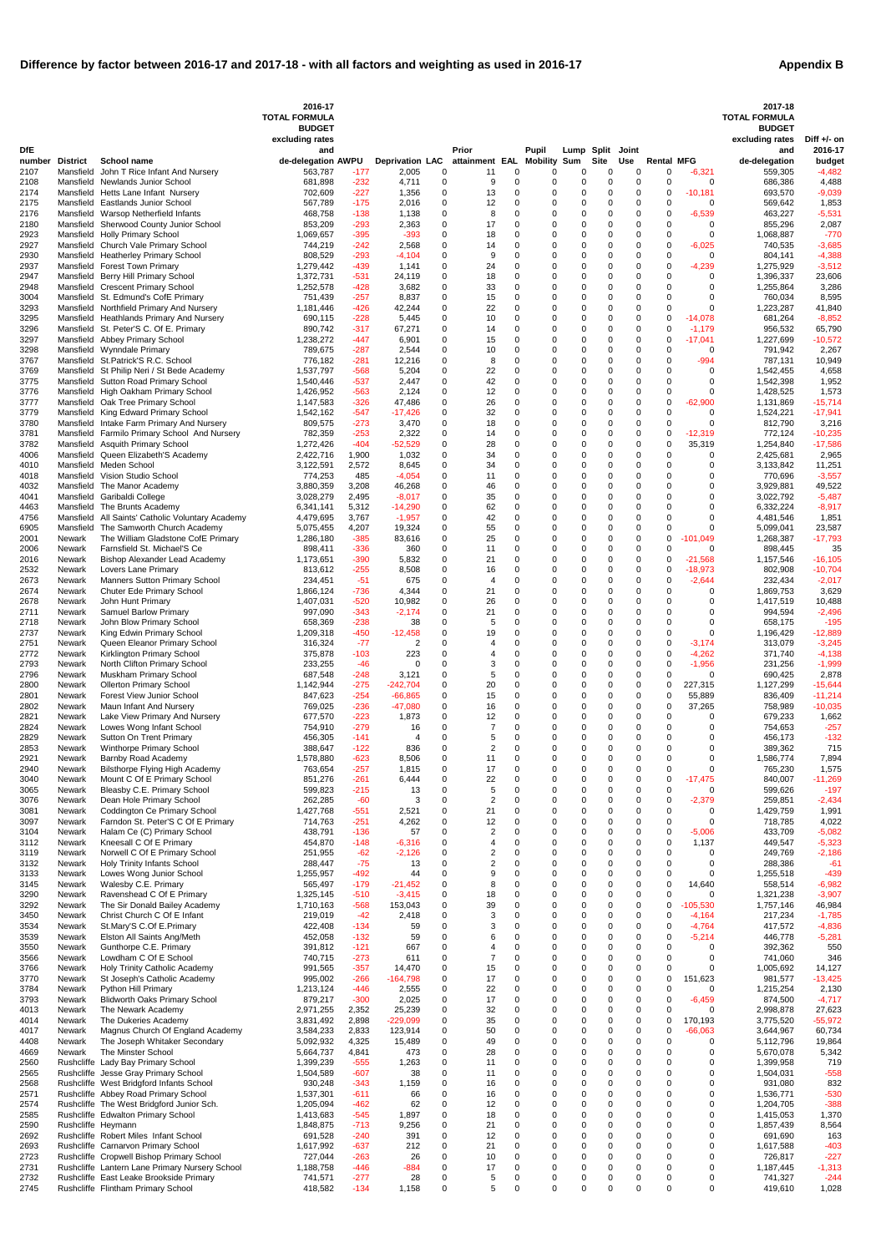| <b>Appendix B</b> |  |
|-------------------|--|
|-------------------|--|

|                |                    |                                                                                    | 2016-17<br><b>TOTAL FORMULA</b>  |                  |                                 |               |                                   |                            |                  |                            |                  |                      |                            |                        | 2017-18<br><b>TOTAL FORMULA</b>  |                        |
|----------------|--------------------|------------------------------------------------------------------------------------|----------------------------------|------------------|---------------------------------|---------------|-----------------------------------|----------------------------|------------------|----------------------------|------------------|----------------------|----------------------------|------------------------|----------------------------------|------------------------|
|                |                    |                                                                                    | <b>BUDGET</b><br>excluding rates |                  |                                 |               |                                   |                            |                  |                            |                  |                      |                            |                        | <b>BUDGET</b><br>excluding rates | Diff $+/-$ on          |
| <b>DfE</b>     |                    |                                                                                    | and                              |                  |                                 |               | Prior                             |                            | Pupil            |                            | Lump Split       | Joint                |                            |                        | and                              | 2016-17                |
| number<br>2107 | <b>District</b>    | School name<br>Mansfield John T Rice Infant And Nursery                            | de-delegation AWPU<br>563,787    | -177             | <b>Deprivation LAC</b><br>2,005 | 0             | attainment EAL Mobility Sum<br>11 | 0                          | 0                | 0                          | <b>Site</b><br>0 | Use<br>$\Omega$      | <b>Rental MFG</b><br>0     | -6,321                 | de-delegation<br>559,305         | budget<br>$-4,482$     |
| 2108<br>2174   |                    | Mansfield Newlands Junior School<br>Mansfield Hetts Lane Infant Nursery            | 681,898<br>702,609               | -232<br>$-227$   | 4,711<br>1,356                  | 0<br>0        | 9<br>13                           | 0<br>0                     | 0<br>0           | 0<br>0                     | 0<br>0           | 0<br>0               | 0<br>0                     | 0<br>$-10,181$         | 686,386<br>693,570               | 4,488<br>$-9,039$      |
| 2175           |                    | Mansfield Eastlands Junior School                                                  | 567,789                          | $-175$           | 2,016                           | 0             | 12                                | 0                          | $\Omega$         | 0                          | 0                | 0                    | 0                          | $\Omega$               | 569,642                          | 1,853                  |
| 2176<br>2180   |                    | Mansfield Warsop Netherfield Infants<br>Mansfield Sherwood County Junior School    | 468,758<br>853,209               | -138<br>-293     | 1,138<br>2,363                  | 0<br>0        | 8<br>17                           | $\mathbf 0$<br>0           | 0<br>0           | 0<br>0                     | 0<br>0           | 0<br>0               | 0<br>0                     | $-6,539$<br>0          | 463,227<br>855,296               | $-5,531$<br>2,087      |
| 2923           |                    | Mansfield Holly Primary School                                                     | 1,069,657                        | -395             | $-393$                          | 0             | 18                                | 0                          | 0                | 0                          | 0                | $\Omega$             | $\mathbf 0$                | $\Omega$               | 1,068,887                        | $-770$                 |
| 2927<br>2930   |                    | Mansfield Church Vale Primary School<br>Mansfield Heatherley Primary School        | 744,219<br>808,529               | -242<br>-293     | 2,568<br>$-4,104$               | 0<br>0        | 14<br>9                           | 0<br>0                     | 0<br>0           | 0<br>0                     | 0<br>0           | 0<br>0               | 0<br>0                     | $-6,025$<br>0          | 740,535<br>804,141               | $-3,685$<br>$-4,388$   |
| 2937<br>2947   |                    | Mansfield Forest Town Primary<br>Mansfield Berry Hill Primary School               | 1,279,442<br>1,372,731           | -439<br>-531     | 1,141<br>24,119                 | 0<br>0        | 24<br>18                          | 0<br>$\mathbf 0$           | 0<br>0           | 0<br>0                     | 0<br>0           | $\Omega$<br>$\Omega$ | 0<br>0                     | $-4,239$<br>0          | 1,275,929<br>1,396,337           | $-3,512$<br>23,606     |
| 2948           |                    | Mansfield Crescent Primary School                                                  | 1,252,578                        | -428             | 3,682                           | 0             | 33                                | 0                          | 0                | 0                          | 0                | 0                    | 0                          | $\Omega$               | 1,255,864                        | 3,286                  |
| 3004<br>3293   |                    | Mansfield St. Edmund's CofE Primary<br>Mansfield Northfield Primary And Nursery    | 751,439<br>1,181,446             | -257<br>-426     | 8,837<br>42,244                 | 0<br>0        | 15<br>22                          | 0<br>0                     | 0<br>0           | 0<br>0                     | 0<br>0           | $\Omega$<br>0        | $\mathbf 0$<br>0           | 0<br>$\Omega$          | 760,034<br>1,223,287             | 8,595<br>41,840        |
| 3295<br>3296   |                    | Mansfield Heathlands Primary And Nursery<br>Mansfield St. Peter'S C. Of E. Primary | 690,115<br>890,742               | -228<br>-317     | 5,445<br>67,271                 | 0<br>0        | 10<br>14                          | 0<br>0                     | 0<br>0           | 0<br>0                     | 0<br>0           | 0<br>$\Omega$        | 0<br>0                     | $-14,078$<br>$-1,179$  | 681,264<br>956,532               | $-8,852$<br>65,790     |
| 3297           |                    | Mansfield Abbey Primary School                                                     | 1,238,272                        | -447             | 6,901                           | 0             | 15                                | 0                          | 0                | 0                          | 0                | 0                    | $\Omega$                   | $-17,041$              | 1,227,699                        | $-10,572$              |
| 3298<br>3767   |                    | Mansfield Wynndale Primary<br>Mansfield St. Patrick'S R.C. School                  | 789,675<br>776,182               | -287<br>-281     | 2,544<br>12,216                 | 0<br>0        | 10<br>8                           | 0<br>$\mathbf 0$           | 0<br>0           | 0<br>0                     | 0<br>0           | 0<br>$\Omega$        | 0<br>$\mathbf 0$           | 0<br>$-994$            | 791,942<br>787,131               | 2,267<br>10,949        |
| 3769<br>3775   |                    | Mansfield St Philip Neri / St Bede Academy<br>Mansfield Sutton Road Primary School | 1,537,797                        | -568             | 5,204                           | 0<br>0        | 22<br>42                          | 0<br>0                     | 0<br>0           | 0<br>0                     | 0<br>0           | 0<br>0               | 0<br>0                     | 0<br>0                 | 1,542,455<br>1,542,398           | 4,658<br>1,952         |
| 3776           |                    | Mansfield High Oakham Primary School                                               | 1,540,446<br>1,426,952           | -537<br>-563     | 2,447<br>2,124                  | 0             | 12                                | $\mathbf 0$                | 0                | 0                          | 0                | 0                    | 0                          | 0                      | 1,428,525                        | 1,573                  |
| 3777<br>3779   |                    | Mansfield Oak Tree Primary School<br>Mansfield King Edward Primary School          | 1,147,583<br>1,542,162           | $-326$<br>-547   | 47,486<br>-17,426               | 0<br>0        | 26<br>32                          | $\mathbf 0$<br>0           | 0<br>0           | 0<br>0                     | 0<br>0           | 0<br>$\Omega$        | $\mathbf 0$<br>0           | $-62,900$<br>$\Omega$  | 1,131,869<br>1,524,221           | $-15,714$<br>$-17,941$ |
| 3780           |                    | Mansfield Intake Farm Primary And Nursery                                          | 809,575                          | $-273$           | 3,470                           | 0             | 18                                | $\mathbf 0$                | 0                | 0                          | 0                | 0                    | $\mathbf 0$                | $\Omega$               | 812,790                          | 3,216                  |
| 3781<br>3782   |                    | Mansfield Farmilo Primary School And Nursery<br>Mansfield Asquith Primary School   | 782,359<br>1,272,426             | $-253$<br>-404   | 2,322<br>$-52,529$              | 0<br>0        | 14<br>28                          | 0<br>0                     | 0<br>0           | 0<br>$\mathbf 0$           | 0<br>0           | 0<br>$\Omega$        | 0<br>0                     | $-12,319$<br>35,319    | 772,124<br>1,254,840             | $-10,235$<br>$-17,586$ |
| 4006<br>4010   |                    | Mansfield Queen Elizabeth'S Academy<br>Mansfield Meden School                      | 2,422,716                        | 1,900<br>2,572   | 1,032<br>8,645                  | 0<br>0        | 34<br>34                          | 0<br>$\mathbf 0$           | 0<br>$\Omega$    | 0<br>0                     | 0<br>0           | 0<br>$\Omega$        | $\mathbf 0$<br>$\Omega$    | 0<br>$\Omega$          | 2,425,681<br>3,133,842           | 2,965<br>11,251        |
| 4018           |                    | Mansfield Vision Studio School                                                     | 3,122,591<br>774,253             | 485              | -4,054                          | 0             | 11                                | 0                          | 0                | 0                          | 0                | $\Omega$             | 0                          | 0                      | 770,696                          | $-3,557$               |
| 4032<br>4041   |                    | Mansfield The Manor Academy<br>Mansfield Garibaldi College                         | 3,880,359<br>3,028,279           | 3,208<br>2,495   | 46,268<br>$-8,017$              | 0<br>0        | 46<br>35                          | 0<br>0                     | 0<br>0           | 0<br>0                     | 0<br>0           | 0<br>$\Omega$        | 0<br>0                     | 0<br>0                 | 3,929,881<br>3,022,792           | 49,522<br>$-5,487$     |
| 4463           |                    | Mansfield The Brunts Academy                                                       | 6,341,141                        | 5,312            | $-14,290$                       | 0             | 62                                | 0                          | 0                | 0                          | 0                | $\Omega$             | 0                          | 0                      | 6,332,224                        | $-8,917$               |
| 4756<br>6905   | Mansfield          | Mansfield All Saints' Catholic Voluntary Academy<br>The Samworth Church Academy    | 4,479,695<br>5,075,455           | 3,767<br>4,207   | $-1,957$<br>19,324              | 0<br>0        | 42<br>55                          | 0<br>0                     | 0<br>0           | 0<br>0                     | 0<br>0           | 0<br>0               | 0<br>0                     | 0<br>0                 | 4,481,546<br>5,099,041           | 1,851<br>23,587        |
| 2001           | Newark             | The William Gladstone CofE Primary                                                 | 1,286,180                        | $-385$           | 83,616                          | 0             | 25                                | 0<br>0                     | 0                | 0                          | 0                | 0                    | 0<br>$\Omega$              | $-101,049$             | 1,268,387                        | $-17,793$              |
| 2006<br>2016   | Newark<br>Newark   | Farnsfield St. Michael'S Ce<br>Bishop Alexander Lead Academy                       | 898,411<br>1,173,651             | $-336$<br>-390   | 360<br>5,832                    | 0<br>0        | 11<br>21                          | 0                          | 0<br>$\Omega$    | 0<br>0                     | 0<br>0           | 0<br>0               | 0                          | 0<br>$-21,568$         | 898,445<br>1,157,546             | 35<br>$-16,105$        |
| 2532<br>2673   | Newark<br>Newark   | Lovers Lane Primary<br>Manners Sutton Primary School                               | 813,612<br>234,451               | $-255$<br>$-51$  | 8,508<br>675                    | 0             | 16                                | $\Omega$<br>$\Omega$       | $\Omega$         | $\Omega$<br>$\Omega$       | $\Omega$<br>0    | $\Omega$<br>$\Omega$ | 0<br>$\Omega$              | $-18,973$<br>$-2,644$  | 802,908<br>232,434               | $-10,704$<br>$-2,017$  |
| 2674           | Newark             | Chuter Ede Primary School                                                          | 1,866,124                        | -736             | 4,344                           | 0             | 21                                | 0                          | $\Omega$         | 0                          | 0                | $\Omega$             | $\mathbf 0$                | 0                      | 1.869.753                        | 3,629                  |
| 2678<br>2711   | Newark<br>Newark   | John Hunt Primary<br><b>Samuel Barlow Primary</b>                                  | 1,407,031<br>997,090             | $-520$<br>$-343$ | 10,982<br>$-2,174$              | 0<br>0        | 26<br>21                          | 0<br>$\mathbf 0$           | $\Omega$<br>0    | $\Omega$<br>$\mathbf 0$    | 0<br>0           | $\Omega$<br>$\Omega$ | $\Omega$<br>$\Omega$       | $\Omega$<br>0          | 1,417,519<br>994,594             | 10,488<br>$-2,496$     |
| 2718           | Newark             | John Blow Primary School                                                           | 658,369                          | $-238$           | 38                              | 0             | 5                                 | 0<br>$\Omega$              | $\Omega$         | 0<br>$\Omega$              | 0                | $\Omega$             | $\Omega$<br>$\Omega$       | 0                      | 658,175                          | $-195$                 |
| 2737<br>2751   | Newark<br>Newark   | King Edwin Primary School<br>Queen Eleanor Primary School                          | 1,209,318<br>316,324             | -450<br>$-77$    | -12,458<br>2                    | 0<br>0        | 19                                | $\Omega$                   | 0                | $\mathbf 0$                | ი<br>0           | $\Omega$<br>0        | $\mathbf 0$                | $\Omega$<br>$-3,174$   | 1,196,429<br>313,079             | $-12,889$<br>$-3,245$  |
| 2772<br>2793   | Newark<br>Newark   | Kirklington Primary School<br>North Clifton Primary School                         | 375,878<br>233,255               | -103<br>$-46$    | 223                             | 0<br>0        | 3                                 | $\Omega$<br>$\Omega$       | 0<br>$\Omega$    | 0<br>$\Omega$              | 0<br>0           | 0<br>$\Omega$        | 0<br>$\Omega$              | $-4,262$<br>$-1,956$   | 371,740<br>231,256               | $-4,138$<br>$-1,999$   |
| 2796           | Newark             | Muskham Primary School                                                             | 687,548                          | -248             | 3,121                           | 0             | 5                                 | $\Omega$                   | 0                | 0                          | 0                | 0                    | 0                          | 0                      | 690,425                          | 2,878                  |
| 2800<br>2801   | Newark<br>Newark   | <b>Ollerton Primary School</b><br><b>Forest View Junior School</b>                 | 1,142,944<br>847,623             | $-275$<br>$-254$ | $-242,704$<br>$-66,865$         | 0<br>0        | 20<br>15                          | $\mathbf 0$<br>$\mathbf 0$ | $\Omega$<br>0    | $\mathbf 0$<br>$\mathbf 0$ | 0<br>0           | 0<br>$\Omega$        | $\mathbf 0$<br>$\mathbf 0$ | 227,315<br>55,889      | 1,127,299<br>836,409             | $-15,644$<br>$-11,214$ |
| 2802<br>2821   | Newark<br>Newark   | Maun Infant And Nursery<br>Lake View Primary And Nursery                           | 769,025<br>677,570               | -236<br>$-223$   | $-47,080$<br>1,873              | 0<br>0        | 16<br>12                          | $\mathbf 0$<br>0           | 0<br>0           | $\mathbf 0$<br>0           | 0<br>0           | 0<br>0               | 0<br>0                     | 37,265<br>0            | 758,989<br>679,233               | $-10,035$<br>1,662     |
| 2824           | Newark             | Lowes Wong Infant School                                                           | 754,910                          | $-279$           | 16                              | 0             |                                   | $\Omega$                   | 0                | $\mathbf 0$                | 0                | $\Omega$             | $\Omega$                   | $\Omega$               | 754,653                          | $-257$                 |
| 2829<br>2853   | Newark<br>Newark   | Sutton On Trent Primary<br><b>Winthorpe Primary School</b>                         | 456,305<br>388,647               | $-141$<br>$-122$ | $\overline{4}$<br>836           | 0<br>0        | $\overline{2}$                    | $\Omega$<br>$\Omega$       | 0<br>$\Omega$    | $\mathbf 0$<br>0           | 0<br>0           | $\Omega$<br>$\Omega$ | $\Omega$<br>$\Omega$       | 0<br>0                 | 456,173<br>389,362               | $-132$<br>715          |
| 2921           | Newark             | Barnby Road Academy                                                                | 1,578,880                        | $-623$           | 8,506                           | 0             | 11                                | $\mathbf 0$                | $\Omega$         | $\mathbf 0$                | ი                | $\Omega$             | $\Omega$                   | $\Omega$               | 1,586,774                        | 7,894                  |
| 2940<br>3040   | Newark<br>Newark   | <b>Bilsthorpe Flying High Academy</b><br>Mount C Of E Primary School               | 763,654<br>851,276               | $-257$<br>$-261$ | 1,815<br>6,444                  | 0<br>0        | 17<br>22                          | $\mathbf 0$<br>$\Omega$    | 0<br>0           | $\mathbf 0$<br>0           | 0<br>0           | $\Omega$<br>0        | 0<br>0                     | $\Omega$<br>-17,475    | 765,230<br>840,007               | 1,575<br>$-11,269$     |
| 3065<br>3076   | Newark<br>Newark   | Bleasby C.E. Primary School<br>Dean Hole Primary School                            | 599,823<br>262,285               | -215<br>$-60$    | 13<br>3                         | 0<br>0        | 5<br>$\overline{2}$               | $\Omega$<br>$\Omega$       | 0                | $\mathbf 0$<br>0           | 0<br>$\mathbf 0$ | $\Omega$<br>0        | $\mathbf 0$<br>0           | $\Omega$<br>$-2,379$   | 599,626<br>259,851               | $-197$<br>$-2,434$     |
| 3081           | Newark             | Coddington Ce Primary School                                                       | 1,427,768                        | $-551$           | 2,521                           | 0             | 21                                | 0                          | 0                | 0                          | 0                | $\Omega$             | 0                          | 0                      | 1,429,759                        | 1,991                  |
| 3097<br>3104   | Newark<br>Newark   | Farndon St. Peter'S C Of E Primary<br>Halam Ce (C) Primary School                  | 714,763<br>438,791               | -251<br>$-136$   | 4,262<br>57                     | 0<br>0        | 12<br>$\overline{2}$              | $\mathbf 0$<br>$\Omega$    | 0                | $\mathbf 0$<br>$\mathbf 0$ | 0<br>0           | $\Omega$<br>0        | $\mathbf 0$<br>0           | $\Omega$<br>$-5,006$   | 718,785<br>433,709               | 4,022<br>$-5,082$      |
| 3112           | Newark             | Kneesall C Of E Primary                                                            | 454,870                          | -148             | $-6,316$                        | 0<br>0        |                                   | $\Omega$<br>$\mathbf{0}$   | 0                | 0<br>$\mathbf 0$           | 0<br>0           | $\Omega$<br>$\Omega$ | 0                          | 1,137                  | 449,547                          | $-5,323$               |
| 3119<br>3132   | Newark<br>Newark   | Norwell C Of E Primary School<br><b>Holy Trinity Infants School</b>                | 251,955<br>288,447               | $-62$<br>$-75$   | $-2,126$<br>13                  | 0             | 2<br>$\overline{2}$               | $\Omega$                   | 0<br>0           | $\mathbf 0$                | 0                | $\Omega$             | 0<br>0                     | 0<br>0                 | 249,769<br>288,386               | $-2,186$<br>$-61$      |
| 3133<br>3145   | Newark<br>Newark   | Lowes Wong Junior School<br>Walesby C.E. Primary                                   | 1,255,957<br>565,497             | -492<br>$-179$   | 44<br>-21,452                   | 0<br>0        | 9<br>8                            | $\Omega$<br>$\mathbf 0$    | 0<br>0           | $\mathbf 0$<br>0           | 0<br>0           | $\Omega$<br>0        | 0<br>$\mathbf 0$           | $\Omega$<br>14,640     | 1,255,518<br>558,514             | $-439$<br>$-6,982$     |
| 3290           | Newark             | Ravenshead C Of E Primary                                                          | 1,325,145                        | $-510$           | $-3,415$                        | 0             | 18                                | $\mathbf 0$                |                  | $\mathbf 0$                | 0                | $\Omega$             | $\mathbf 0$                | $\Omega$               | 1,321,238                        | $-3,907$               |
| 3292<br>3450   | Newark<br>Newark   | The Sir Donald Bailey Academy<br>Christ Church C Of E Infant                       | 1,710,163<br>219,019             | -568<br>$-42$    | 153,043<br>2,418                | 0<br>0        | 39<br>3                           | $\mathbf 0$<br>$\mathbf 0$ | 0<br>0           | $\mathbf 0$<br>$\mathbf 0$ | 0<br>0           | $\Omega$<br>0        | 0<br>$\mathbf 0$           | $-105,530$<br>$-4,164$ | 1,757,146<br>217,234             | 46,984<br>$-1,785$     |
| 3534<br>3539   | Newark<br>Newark   | St.Mary'S C.Of E.Primary<br>Elston All Saints Ang/Meth                             | 422,408<br>452,058               | $-134$<br>-132   | 59<br>59                        | 0<br>0        |                                   | $\Omega$<br>$\Omega$       | 0                | $\mathbf 0$<br>$\mathbf 0$ | 0<br>0           | 0<br>$\Omega$        | 0<br>0                     | $-4,764$<br>$-5,214$   | 417,572<br>446,778               | $-4,836$<br>$-5,281$   |
| 3550           | Newark             | Gunthorpe C.E. Primary                                                             | 391,812                          | $-121$           | 667                             | 0             |                                   | $\Omega$                   | 0                | $\mathbf 0$                | 0                | $\Omega$             | $\mathbf 0$                | 0                      | 392,362                          | 550                    |
| 3566<br>3766   | Newark<br>Newark   | Lowdham C Of E School<br>Holy Trinity Catholic Academy                             | 740,715<br>991,565               | $-273$<br>$-357$ | 611<br>14,470                   | 0<br>0        | $\overline{7}$<br>15              | $\Omega$<br>$\Omega$       | ი<br>0           | $\mathbf 0$<br>$\mathbf 0$ | 0<br>0           | 0<br>$\Omega$        | 0<br>0                     | 0<br>$\Omega$          | 741,060<br>1,005,692             | 346<br>14,127          |
| 3770           | Newark             | St Joseph's Catholic Academy                                                       | 995,002                          | $-266$           | $-164,798$                      | 0             | 17                                | 0                          | 0                | 0                          | 0                | 0                    | 0                          | 151,623                | 981,577                          | $-13,425$              |
| 3784<br>3793   | Newark<br>Newark   | Python Hill Primary<br><b>Blidworth Oaks Primary School</b>                        | 1,213,124<br>879,217             | -446<br>$-300$   | 2,555<br>2,025                  | 0<br>0        | 22<br>17                          | $\mathbf 0$<br>0           | 0<br>0           | $\mathbf 0$<br>0           | 0<br>0           | $\Omega$<br>0        | $\mathbf 0$<br>0           | 0<br>$-6,459$          | 1,215,254<br>874,500             | 2,130<br>$-4,717$      |
| 4013<br>4014   | Newark<br>Newark   | The Newark Academy<br>The Dukeries Academy                                         | 2,971,255<br>3,831,492           | 2,352<br>2,898   | 25,239<br>$-229,099$            | 0<br>0        | 32<br>35                          | 0<br>$\mathbf 0$           | 0                | 0<br>0                     | 0<br>ი           | 0<br>$\Omega$        | $\Omega$<br>0              | 0<br>170,193           | 2,998,878<br>3,775,520           | 27,623<br>$-55,972$    |
| 4017           | Newark             | Magnus Church Of England Academy                                                   | 3,584,233                        | 2,833            | 123,914                         | 0             | 50                                | $\Omega$                   |                  | $\Omega$                   | ი                | $\Omega$             |                            | -66,063                | 3,644,967                        | 60,734                 |
| 4408<br>4669   | Newark<br>Newark   | The Joseph Whitaker Secondary<br>The Minster School                                | 5,092,932<br>5,664,737           | 4,325<br>4,841   | 15,489<br>473                   | 0<br>0        | 49<br>28                          | $\Omega$<br>0              | $\Omega$<br>0    | $\Omega$<br>0              | 0<br>0           | 0<br>0               | U<br>0                     | $\Omega$<br>0          | 5,112,796<br>5,670,078           | 19,864<br>5,342        |
| 2560           |                    | Rushcliffe Lady Bay Primary School                                                 | 1,399,239                        | $-555$           | 1,263                           | 0             | 11                                | $\mathbf 0$                | 0                | $\mathbf 0$                | 0                | $\mathbf 0$          | $\Omega$                   | $\mathbf 0$            | 1,399,958                        | 719                    |
| 2565<br>2568   |                    | Rushcliffe Jesse Gray Primary School<br>Rushcliffe West Bridgford Infants School   | 1,504,589<br>930,248             | $-607$<br>$-343$ | 38<br>1,159                     | 0<br>0        | 11<br>16                          | $\mathbf 0$<br>$\mathbf 0$ | 0<br>0           | 0<br>0                     | 0<br>0           | $\Omega$<br>$\Omega$ | $\Omega$<br>0              | 0<br>$\mathbf 0$       | 1,504,031<br>931,080             | $-558$<br>832          |
| 2571<br>2574   |                    | Rushcliffe Abbey Road Primary School<br>Rushcliffe The West Bridgford Junior Sch.  | 1,537,301<br>1,205,094           | $-611$<br>$-462$ | 66<br>62                        | $\Omega$<br>0 | 16<br>12                          | $\Omega$<br>$\mathbf 0$    | $\Omega$<br>0    | $\Omega$<br>0              | 0<br>0           | $\Omega$<br>$\Omega$ | $\Omega$<br>0              | 0<br>0                 | 1,536,771<br>1,204,705           | $-530$<br>$-388$       |
| 2585           |                    | Rushcliffe Edwalton Primary School                                                 | 1,413,683                        | $-545$           | 1,897                           | 0             | 18                                | $\mathbf 0$                | 0                | 0                          | 0                | $\Omega$             | 0                          | $\mathbf 0$            | 1,415,053                        | 1,370                  |
| 2590<br>2692   | Rushcliffe Heymann | Rushcliffe Robert Miles Infant School                                              | 1,848,875<br>691,528             | $-713$<br>$-240$ | 9,256<br>391                    | 0<br>0        | 21<br>12                          | $\Omega$<br>$\mathbf 0$    | 0<br>0           | 0<br>0                     | 0<br>0           | $\Omega$<br>$\Omega$ | $\Omega$<br>0              | $\Omega$<br>0          | 1,857,439<br>691,690             | 8,564<br>163           |
| 2693<br>2723   |                    | Rushcliffe Carnarvon Primary School<br>Rushcliffe Cropwell Bishop Primary School   | 1,617,992<br>727,044             | $-637$<br>$-263$ | 212<br>26                       | 0<br>$\Omega$ | 21<br>10                          | 0<br>$\Omega$              | 0<br>0           | 0<br>$\mathbf 0$           | 0<br>0           | 0<br>$\Omega$        | 0<br>$\Omega$              | 0<br>0                 | 1,617,588<br>726,817             | $-403$<br>$-227$       |
| 2731           |                    | Rushcliffe Lantern Lane Primary Nursery School                                     | 1,188,758                        | $-446$           | $-884$                          | 0             | 17                                | $\mathbf 0$                | 0                | 0                          | 0                | $\Omega$             | 0                          | 0                      | 1,187,445                        | $-1,313$               |
| 2732<br>2745   |                    | Rushcliffe East Leake Brookside Primary<br>Rushcliffe Flintham Primary School      | 741,571<br>418,582               | $-277$<br>$-134$ | 28<br>1,158                     | 0<br>0        | 5<br>5                            | 0<br>$\mathbf 0$           | 0<br>$\mathbf 0$ | 0<br>$\mathbf 0$           | 0<br>0           | 0<br>0               | 0<br>$\Omega$              | 0<br>$\mathbf 0$       | 741,327<br>419,610               | $-244$<br>1,028        |